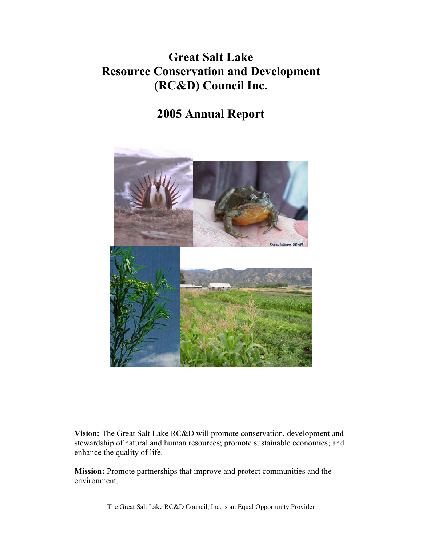## **Great Salt Lake Resource Conservation and Development (RC&D) Council Inc.**

## **2005 Annual Report**



**Vision:** The Great Salt Lake RC&D will promote conservation, development and stewardship of natural and human resources; promote sustainable economies; and enhance the quality of life.

**Mission:** Promote partnerships that improve and protect communities and the environment.

The Great Salt Lake RC&D Council, Inc. is an Equal Opportunity Provider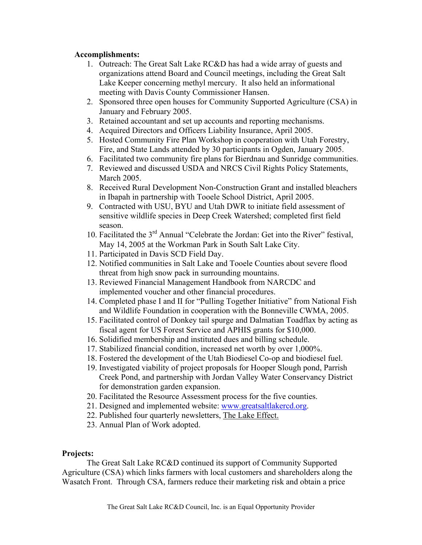## **Accomplishments:**

- 1. Outreach: The Great Salt Lake RC&D has had a wide array of guests and organizations attend Board and Council meetings, including the Great Salt Lake Keeper concerning methyl mercury. It also held an informational meeting with Davis County Commissioner Hansen.
- 2. Sponsored three open houses for Community Supported Agriculture (CSA) in January and February 2005.
- 3. Retained accountant and set up accounts and reporting mechanisms.
- 4. Acquired Directors and Officers Liability Insurance, April 2005.
- 5. Hosted Community Fire Plan Workshop in cooperation with Utah Forestry, Fire, and State Lands attended by 30 participants in Ogden, January 2005.
- 6. Facilitated two community fire plans for Bierdnau and Sunridge communities.
- 7. Reviewed and discussed USDA and NRCS Civil Rights Policy Statements, March 2005.
- 8. Received Rural Development Non-Construction Grant and installed bleachers in Ibapah in partnership with Tooele School District, April 2005.
- 9. Contracted with USU, BYU and Utah DWR to initiate field assessment of sensitive wildlife species in Deep Creek Watershed; completed first field season.
- 10. Facilitated the 3rd Annual "Celebrate the Jordan: Get into the River" festival, May 14, 2005 at the Workman Park in South Salt Lake City.
- 11. Participated in Davis SCD Field Day.
- 12. Notified communities in Salt Lake and Tooele Counties about severe flood threat from high snow pack in surrounding mountains.
- 13. Reviewed Financial Management Handbook from NARCDC and implemented voucher and other financial procedures.
- 14. Completed phase I and II for "Pulling Together Initiative" from National Fish and Wildlife Foundation in cooperation with the Bonneville CWMA, 2005.
- 15. Facilitated control of Donkey tail spurge and Dalmatian Toadflax by acting as fiscal agent for US Forest Service and APHIS grants for \$10,000.
- 16. Solidified membership and instituted dues and billing schedule.
- 17. Stabilized financial condition, increased net worth by over 1,000%.
- 18. Fostered the development of the Utah Biodiesel Co-op and biodiesel fuel.
- 19. Investigated viability of project proposals for Hooper Slough pond, Parrish Creek Pond, and partnership with Jordan Valley Water Conservancy District for demonstration garden expansion.
- 20. Facilitated the Resource Assessment process for the five counties.
- 21. Designed and implemented website: www.greatsaltlakercd.org.
- 22. Published four quarterly newsletters, The Lake Effect.
- 23. Annual Plan of Work adopted.

## **Projects:**

The Great Salt Lake RC&D continued its support of Community Supported Agriculture (CSA) which links farmers with local customers and shareholders along the Wasatch Front. Through CSA, farmers reduce their marketing risk and obtain a price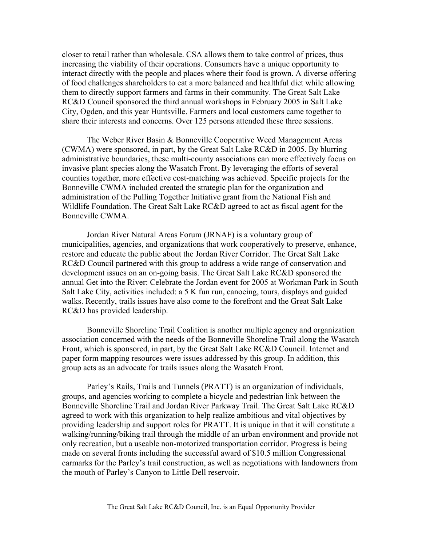closer to retail rather than wholesale. CSA allows them to take control of prices, thus increasing the viability of their operations. Consumers have a unique opportunity to interact directly with the people and places where their food is grown. A diverse offering of food challenges shareholders to eat a more balanced and healthful diet while allowing them to directly support farmers and farms in their community. The Great Salt Lake RC&D Council sponsored the third annual workshops in February 2005 in Salt Lake City, Ogden, and this year Huntsville. Farmers and local customers came together to share their interests and concerns. Over 125 persons attended these three sessions.

 The Weber River Basin & Bonneville Cooperative Weed Management Areas (CWMA) were sponsored, in part, by the Great Salt Lake RC&D in 2005. By blurring administrative boundaries, these multi-county associations can more effectively focus on invasive plant species along the Wasatch Front. By leveraging the efforts of several counties together, more effective cost-matching was achieved. Specific projects for the Bonneville CWMA included created the strategic plan for the organization and administration of the Pulling Together Initiative grant from the National Fish and Wildlife Foundation. The Great Salt Lake RC&D agreed to act as fiscal agent for the Bonneville CWMA.

 Jordan River Natural Areas Forum (JRNAF) is a voluntary group of municipalities, agencies, and organizations that work cooperatively to preserve, enhance, restore and educate the public about the Jordan River Corridor. The Great Salt Lake RC&D Council partnered with this group to address a wide range of conservation and development issues on an on-going basis. The Great Salt Lake RC&D sponsored the annual Get into the River: Celebrate the Jordan event for 2005 at Workman Park in South Salt Lake City, activities included: a 5 K fun run, canoeing, tours, displays and guided walks. Recently, trails issues have also come to the forefront and the Great Salt Lake RC&D has provided leadership.

 Bonneville Shoreline Trail Coalition is another multiple agency and organization association concerned with the needs of the Bonneville Shoreline Trail along the Wasatch Front, which is sponsored, in part, by the Great Salt Lake RC&D Council. Internet and paper form mapping resources were issues addressed by this group. In addition, this group acts as an advocate for trails issues along the Wasatch Front.

Parley's Rails, Trails and Tunnels (PRATT) is an organization of individuals, groups, and agencies working to complete a bicycle and pedestrian link between the Bonneville Shoreline Trail and Jordan River Parkway Trail. The Great Salt Lake RC&D agreed to work with this organization to help realize ambitious and vital objectives by providing leadership and support roles for PRATT. It is unique in that it will constitute a walking/running/biking trail through the middle of an urban environment and provide not only recreation, but a useable non-motorized transportation corridor. Progress is being made on several fronts including the successful award of \$10.5 million Congressional earmarks for the Parley's trail construction, as well as negotiations with landowners from the mouth of Parley's Canyon to Little Dell reservoir.